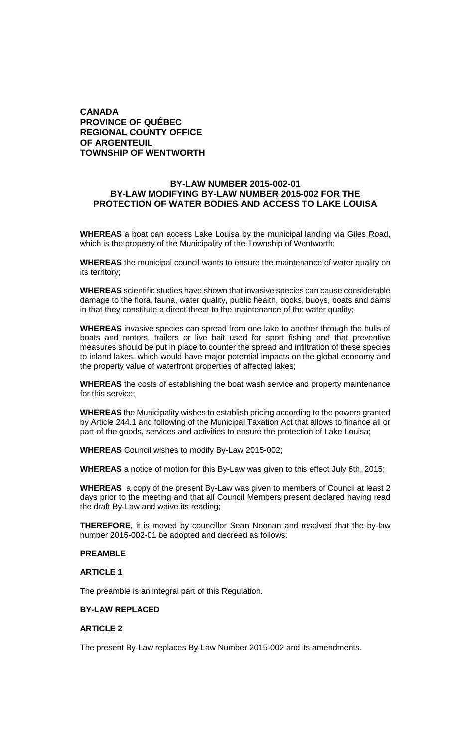# **CANADA PROVINCE OF QUÉBEC REGIONAL COUNTY OFFICE OF ARGENTEUIL TOWNSHIP OF WENTWORTH**

## **BY-LAW NUMBER 2015-002-01 BY-LAW MODIFYING BY-LAW NUMBER 2015-002 FOR THE PROTECTION OF WATER BODIES AND ACCESS TO LAKE LOUISA**

**WHEREAS** a boat can access Lake Louisa by the municipal landing via Giles Road, which is the property of the Municipality of the Township of Wentworth;

**WHEREAS** the municipal council wants to ensure the maintenance of water quality on its territory;

**WHEREAS** scientific studies have shown that invasive species can cause considerable damage to the flora, fauna, water quality, public health, docks, buoys, boats and dams in that they constitute a direct threat to the maintenance of the water quality;

**WHEREAS** invasive species can spread from one lake to another through the hulls of boats and motors, trailers or live bait used for sport fishing and that preventive measures should be put in place to counter the spread and infiltration of these species to inland lakes, which would have major potential impacts on the global economy and the property value of waterfront properties of affected lakes;

**WHEREAS** the costs of establishing the boat wash service and property maintenance for this service;

**WHEREAS** the Municipality wishes to establish pricing according to the powers granted by Article 244.1 and following of the Municipal Taxation Act that allows to finance all or part of the goods, services and activities to ensure the protection of Lake Louisa;

**WHEREAS** Council wishes to modify By-Law 2015-002;

**WHEREAS** a notice of motion for this By-Law was given to this effect July 6th, 2015;

**WHEREAS** a copy of the present By-Law was given to members of Council at least 2 days prior to the meeting and that all Council Members present declared having read the draft By-Law and waive its reading;

**THEREFORE**, it is moved by councillor Sean Noonan and resolved that the by-law number 2015-002-01 be adopted and decreed as follows:

## **PREAMBLE**

### **ARTICLE 1**

The preamble is an integral part of this Regulation.

## **BY-LAW REPLACED**

## **ARTICLE 2**

The present By-Law replaces By-Law Number 2015-002 and its amendments.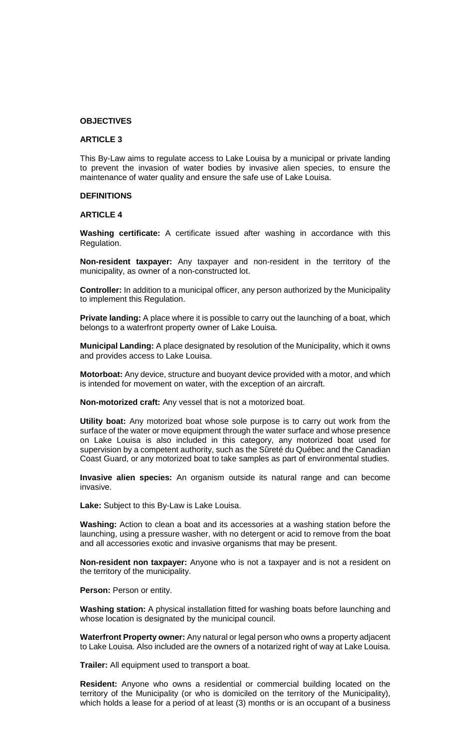#### **OBJECTIVES**

#### **ARTICLE 3**

This By-Law aims to regulate access to Lake Louisa by a municipal or private landing to prevent the invasion of water bodies by invasive alien species, to ensure the maintenance of water quality and ensure the safe use of Lake Louisa.

### **DEFINITIONS**

#### **ARTICLE 4**

**Washing certificate:** A certificate issued after washing in accordance with this Regulation.

**Non-resident taxpayer:** Any taxpayer and non-resident in the territory of the municipality, as owner of a non-constructed lot.

**Controller:** In addition to a municipal officer, any person authorized by the Municipality to implement this Regulation.

**Private landing:** A place where it is possible to carry out the launching of a boat, which belongs to a waterfront property owner of Lake Louisa.

**Municipal Landing:** A place designated by resolution of the Municipality, which it owns and provides access to Lake Louisa.

**Motorboat:** Any device, structure and buoyant device provided with a motor, and which is intended for movement on water, with the exception of an aircraft.

**Non-motorized craft:** Any vessel that is not a motorized boat.

**Utility boat:** Any motorized boat whose sole purpose is to carry out work from the surface of the water or move equipment through the water surface and whose presence on Lake Louisa is also included in this category, any motorized boat used for supervision by a competent authority, such as the Sûreté du Québec and the Canadian Coast Guard, or any motorized boat to take samples as part of environmental studies.

**Invasive alien species:** An organism outside its natural range and can become invasive.

**Lake:** Subject to this By-Law is Lake Louisa.

**Washing:** Action to clean a boat and its accessories at a washing station before the launching, using a pressure washer, with no detergent or acid to remove from the boat and all accessories exotic and invasive organisms that may be present.

**Non-resident non taxpayer:** Anyone who is not a taxpayer and is not a resident on the territory of the municipality.

**Person:** Person or entity.

**Washing station:** A physical installation fitted for washing boats before launching and whose location is designated by the municipal council.

**Waterfront Property owner:** Any natural or legal person who owns a property adjacent to Lake Louisa. Also included are the owners of a notarized right of way at Lake Louisa.

**Trailer:** All equipment used to transport a boat.

**Resident:** Anyone who owns a residential or commercial building located on the territory of the Municipality (or who is domiciled on the territory of the Municipality), which holds a lease for a period of at least (3) months or is an occupant of a business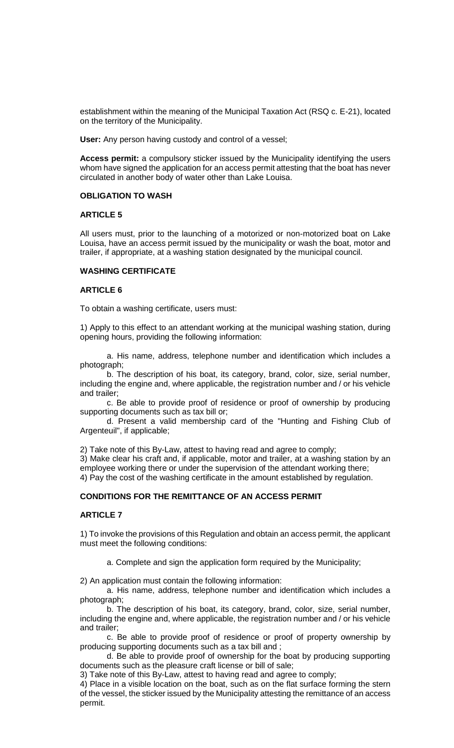establishment within the meaning of the Municipal Taxation Act (RSQ c. E-21), located on the territory of the Municipality.

**User:** Any person having custody and control of a vessel;

**Access permit:** a compulsory sticker issued by the Municipality identifying the users whom have signed the application for an access permit attesting that the boat has never circulated in another body of water other than Lake Louisa.

### **OBLIGATION TO WASH**

## **ARTICLE 5**

All users must, prior to the launching of a motorized or non-motorized boat on Lake Louisa, have an access permit issued by the municipality or wash the boat, motor and trailer, if appropriate, at a washing station designated by the municipal council.

### **WASHING CERTIFICATE**

## **ARTICLE 6**

To obtain a washing certificate, users must:

1) Apply to this effect to an attendant working at the municipal washing station, during opening hours, providing the following information:

a. His name, address, telephone number and identification which includes a photograph;

b. The description of his boat, its category, brand, color, size, serial number, including the engine and, where applicable, the registration number and / or his vehicle and trailer;

c. Be able to provide proof of residence or proof of ownership by producing supporting documents such as tax bill or;

d. Present a valid membership card of the "Hunting and Fishing Club of Argenteuil", if applicable;

2) Take note of this By-Law, attest to having read and agree to comply;

3) Make clear his craft and, if applicable, motor and trailer, at a washing station by an employee working there or under the supervision of the attendant working there;

4) Pay the cost of the washing certificate in the amount established by regulation.

# **CONDITIONS FOR THE REMITTANCE OF AN ACCESS PERMIT**

### **ARTICLE 7**

1) To invoke the provisions of this Regulation and obtain an access permit, the applicant must meet the following conditions:

a. Complete and sign the application form required by the Municipality;

2) An application must contain the following information:

a. His name, address, telephone number and identification which includes a photograph;

b. The description of his boat, its category, brand, color, size, serial number, including the engine and, where applicable, the registration number and / or his vehicle and trailer;

c. Be able to provide proof of residence or proof of property ownership by producing supporting documents such as a tax bill and ;

d. Be able to provide proof of ownership for the boat by producing supporting documents such as the pleasure craft license or bill of sale;

3) Take note of this By-Law, attest to having read and agree to comply;

4) Place in a visible location on the boat, such as on the flat surface forming the stern of the vessel, the sticker issued by the Municipality attesting the remittance of an access permit.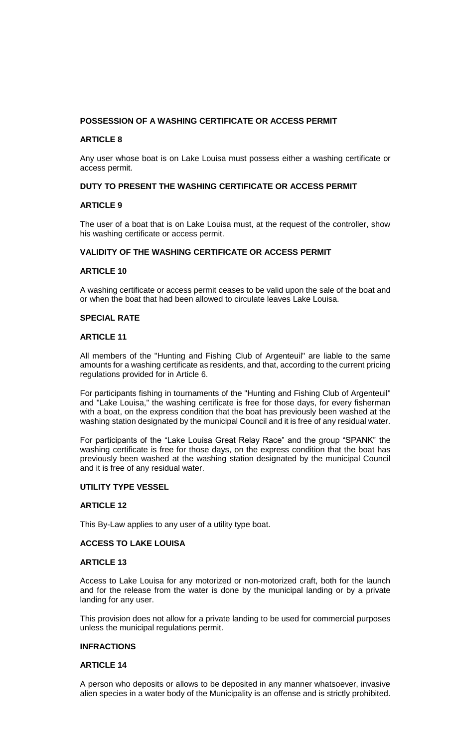# **POSSESSION OF A WASHING CERTIFICATE OR ACCESS PERMIT**

## **ARTICLE 8**

Any user whose boat is on Lake Louisa must possess either a washing certificate or access permit.

# **DUTY TO PRESENT THE WASHING CERTIFICATE OR ACCESS PERMIT**

## **ARTICLE 9**

The user of a boat that is on Lake Louisa must, at the request of the controller, show his washing certificate or access permit.

# **VALIDITY OF THE WASHING CERTIFICATE OR ACCESS PERMIT**

## **ARTICLE 10**

A washing certificate or access permit ceases to be valid upon the sale of the boat and or when the boat that had been allowed to circulate leaves Lake Louisa.

## **SPECIAL RATE**

### **ARTICLE 11**

All members of the "Hunting and Fishing Club of Argenteuil" are liable to the same amounts for a washing certificate as residents, and that, according to the current pricing regulations provided for in Article 6.

For participants fishing in tournaments of the "Hunting and Fishing Club of Argenteuil" and "Lake Louisa," the washing certificate is free for those days, for every fisherman with a boat, on the express condition that the boat has previously been washed at the washing station designated by the municipal Council and it is free of any residual water.

For participants of the "Lake Louisa Great Relay Race" and the group "SPANK" the washing certificate is free for those days, on the express condition that the boat has previously been washed at the washing station designated by the municipal Council and it is free of any residual water.

# **UTILITY TYPE VESSEL**

### **ARTICLE 12**

This By-Law applies to any user of a utility type boat.

### **ACCESS TO LAKE LOUISA**

## **ARTICLE 13**

Access to Lake Louisa for any motorized or non-motorized craft, both for the launch and for the release from the water is done by the municipal landing or by a private landing for any user.

This provision does not allow for a private landing to be used for commercial purposes unless the municipal regulations permit.

## **INFRACTIONS**

### **ARTICLE 14**

A person who deposits or allows to be deposited in any manner whatsoever, invasive alien species in a water body of the Municipality is an offense and is strictly prohibited.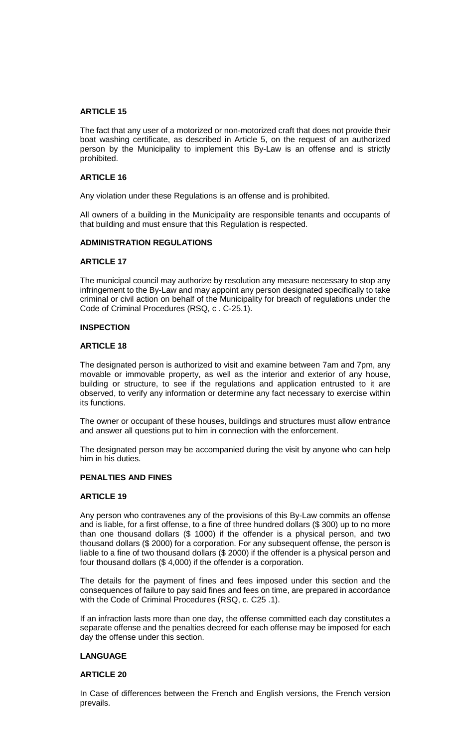### **ARTICLE 15**

The fact that any user of a motorized or non-motorized craft that does not provide their boat washing certificate, as described in Article 5, on the request of an authorized person by the Municipality to implement this By-Law is an offense and is strictly prohibited.

#### **ARTICLE 16**

Any violation under these Regulations is an offense and is prohibited.

All owners of a building in the Municipality are responsible tenants and occupants of that building and must ensure that this Regulation is respected.

## **ADMINISTRATION REGULATIONS**

#### **ARTICLE 17**

The municipal council may authorize by resolution any measure necessary to stop any infringement to the By-Law and may appoint any person designated specifically to take criminal or civil action on behalf of the Municipality for breach of regulations under the Code of Criminal Procedures (RSQ, c . C-25.1).

#### **INSPECTION**

#### **ARTICLE 18**

The designated person is authorized to visit and examine between 7am and 7pm, any movable or immovable property, as well as the interior and exterior of any house, building or structure, to see if the regulations and application entrusted to it are observed, to verify any information or determine any fact necessary to exercise within its functions.

The owner or occupant of these houses, buildings and structures must allow entrance and answer all questions put to him in connection with the enforcement.

The designated person may be accompanied during the visit by anyone who can help him in his duties.

## **PENALTIES AND FINES**

#### **ARTICLE 19**

Any person who contravenes any of the provisions of this By-Law commits an offense and is liable, for a first offense, to a fine of three hundred dollars (\$ 300) up to no more than one thousand dollars (\$ 1000) if the offender is a physical person, and two thousand dollars (\$ 2000) for a corporation. For any subsequent offense, the person is liable to a fine of two thousand dollars (\$ 2000) if the offender is a physical person and four thousand dollars (\$ 4,000) if the offender is a corporation.

The details for the payment of fines and fees imposed under this section and the consequences of failure to pay said fines and fees on time, are prepared in accordance with the Code of Criminal Procedures (RSQ, c. C25 .1).

If an infraction lasts more than one day, the offense committed each day constitutes a separate offense and the penalties decreed for each offense may be imposed for each day the offense under this section.

## **LANGUAGE**

#### **ARTICLE 20**

In Case of differences between the French and English versions, the French version prevails.